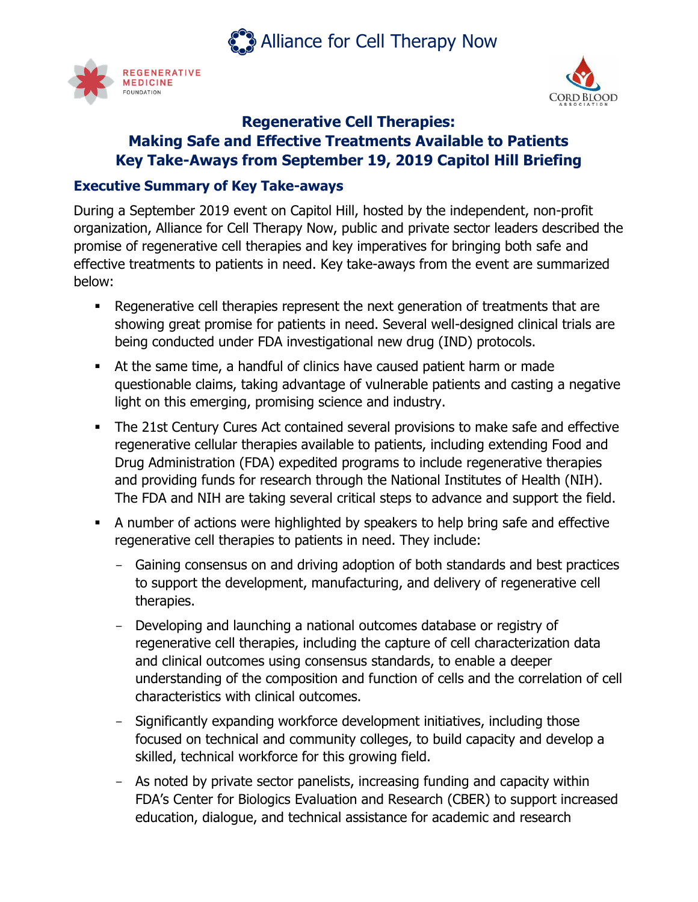**Alliance for Cell Therapy Now** 





# **Regenerative Cell Therapies: Making Safe and Effective Treatments Available to Patients Key Take-Aways from September 19, 2019 Capitol Hill Briefing**

#### **Executive Summary of Key Take-aways**

During a September 2019 event on Capitol Hill, hosted by the independent, non-profit organization, Alliance for Cell Therapy Now, public and private sector leaders described the promise of regenerative cell therapies and key imperatives for bringing both safe and effective treatments to patients in need. Key take-aways from the event are summarized below:

- Regenerative cell therapies represent the next generation of treatments that are showing great promise for patients in need. Several well-designed clinical trials are being conducted under FDA investigational new drug (IND) protocols.
- At the same time, a handful of clinics have caused patient harm or made questionable claims, taking advantage of vulnerable patients and casting a negative light on this emerging, promising science and industry.
- The 21st Century Cures Act contained several provisions to make safe and effective regenerative cellular therapies available to patients, including extending Food and Drug Administration (FDA) expedited programs to include regenerative therapies and providing funds for research through the National Institutes of Health (NIH). The FDA and NIH are taking several critical steps to advance and support the field.
- A number of actions were highlighted by speakers to help bring safe and effective regenerative cell therapies to patients in need. They include:
	- Gaining consensus on and driving adoption of both standards and best practices to support the development, manufacturing, and delivery of regenerative cell therapies.
	- Developing and launching a national outcomes database or registry of regenerative cell therapies, including the capture of cell characterization data and clinical outcomes using consensus standards, to enable a deeper understanding of the composition and function of cells and the correlation of cell characteristics with clinical outcomes.
	- Significantly expanding workforce development initiatives, including those focused on technical and community colleges, to build capacity and develop a skilled, technical workforce for this growing field.
	- As noted by private sector panelists, increasing funding and capacity within FDA's Center for Biologics Evaluation and Research (CBER) to support increased education, dialogue, and technical assistance for academic and research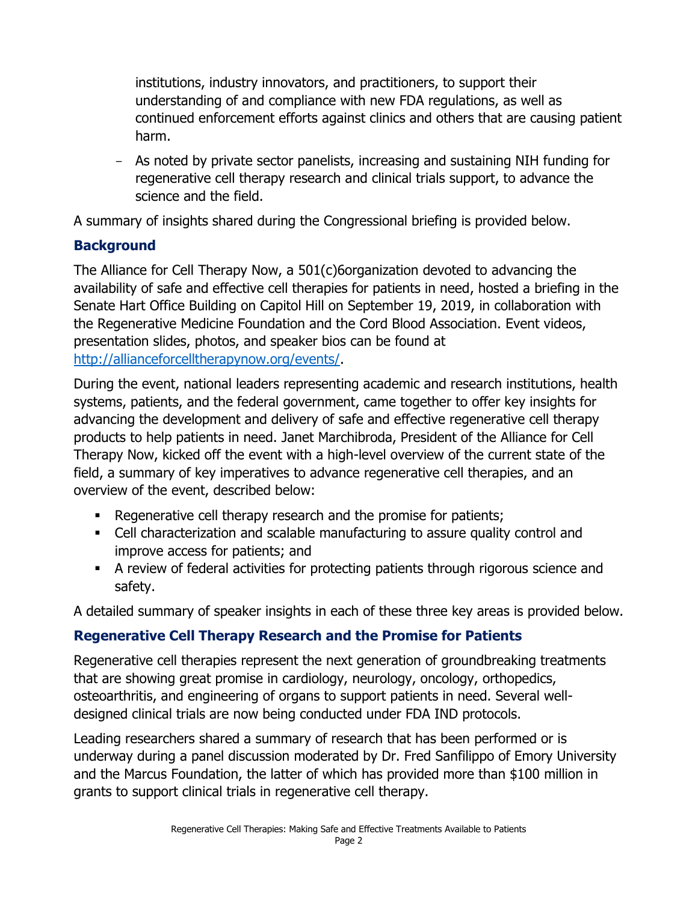institutions, industry innovators, and practitioners, to support their understanding of and compliance with new FDA regulations, as well as continued enforcement efforts against clinics and others that are causing patient harm.

- As noted by private sector panelists, increasing and sustaining NIH funding for regenerative cell therapy research and clinical trials support, to advance the science and the field.

A summary of insights shared during the Congressional briefing is provided below.

### **Background**

The Alliance for Cell Therapy Now, a 501(c)6organization devoted to advancing the availability of safe and effective cell therapies for patients in need, hosted a briefing in the Senate Hart Office Building on Capitol Hill on September 19, 2019, in collaboration with the Regenerative Medicine Foundation and the Cord Blood Association. Event videos, presentation slides, photos, and speaker bios can be found at [http://allianceforcelltherapynow.org/events/.](http://allianceforcelltherapynow.org/events/)

During the event, national leaders representing academic and research institutions, health systems, patients, and the federal government, came together to offer key insights for advancing the development and delivery of safe and effective regenerative cell therapy products to help patients in need. Janet Marchibroda, President of the Alliance for Cell Therapy Now, kicked off the event with a high-level overview of the current state of the field, a summary of key imperatives to advance regenerative cell therapies, and an overview of the event, described below:

- Regenerative cell therapy research and the promise for patients;
- Cell characterization and scalable manufacturing to assure quality control and improve access for patients; and
- **EXECT** A review of federal activities for protecting patients through rigorous science and safety.

A detailed summary of speaker insights in each of these three key areas is provided below.

### **Regenerative Cell Therapy Research and the Promise for Patients**

Regenerative cell therapies represent the next generation of groundbreaking treatments that are showing great promise in cardiology, neurology, oncology, orthopedics, osteoarthritis, and engineering of organs to support patients in need. Several welldesigned clinical trials are now being conducted under FDA IND protocols.

Leading researchers shared a summary of research that has been performed or is underway during a panel discussion moderated by Dr. Fred Sanfilippo of Emory University and the Marcus Foundation, the latter of which has provided more than \$100 million in grants to support clinical trials in regenerative cell therapy.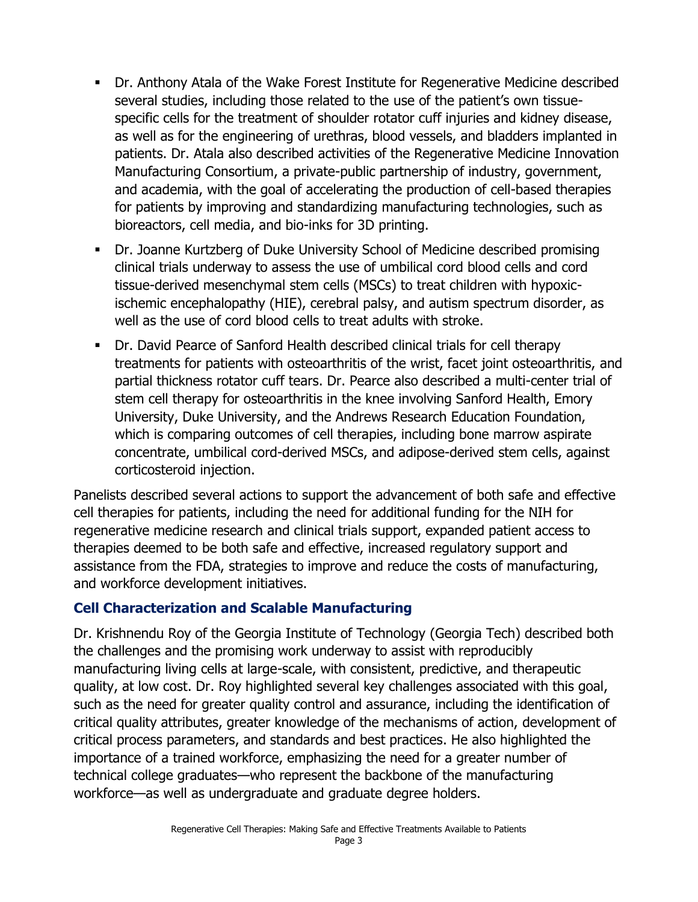- Dr. Anthony Atala of the Wake Forest Institute for Regenerative Medicine described several studies, including those related to the use of the patient's own tissuespecific cells for the treatment of shoulder rotator cuff injuries and kidney disease, as well as for the engineering of urethras, blood vessels, and bladders implanted in patients. Dr. Atala also described activities of the Regenerative Medicine Innovation Manufacturing Consortium, a private-public partnership of industry, government, and academia, with the goal of accelerating the production of cell-based therapies for patients by improving and standardizing manufacturing technologies, such as bioreactors, cell media, and bio-inks for 3D printing.
- Dr. Joanne Kurtzberg of Duke University School of Medicine described promising clinical trials underway to assess the use of umbilical cord blood cells and cord tissue-derived mesenchymal stem cells (MSCs) to treat children with hypoxicischemic encephalopathy (HIE), cerebral palsy, and autism spectrum disorder, as well as the use of cord blood cells to treat adults with stroke.
- Dr. David Pearce of Sanford Health described clinical trials for cell therapy treatments for patients with osteoarthritis of the wrist, facet joint osteoarthritis, and partial thickness rotator cuff tears. Dr. Pearce also described a multi-center trial of stem cell therapy for osteoarthritis in the knee involving Sanford Health, Emory University, Duke University, and the Andrews Research Education Foundation, which is comparing outcomes of cell therapies, including bone marrow aspirate concentrate, umbilical cord-derived MSCs, and adipose-derived stem cells, against corticosteroid injection.

Panelists described several actions to support the advancement of both safe and effective cell therapies for patients, including the need for additional funding for the NIH for regenerative medicine research and clinical trials support, expanded patient access to therapies deemed to be both safe and effective, increased regulatory support and assistance from the FDA, strategies to improve and reduce the costs of manufacturing, and workforce development initiatives.

### **Cell Characterization and Scalable Manufacturing**

Dr. Krishnendu Roy of the Georgia Institute of Technology (Georgia Tech) described both the challenges and the promising work underway to assist with reproducibly manufacturing living cells at large-scale, with consistent, predictive, and therapeutic quality, at low cost. Dr. Roy highlighted several key challenges associated with this goal, such as the need for greater quality control and assurance, including the identification of critical quality attributes, greater knowledge of the mechanisms of action, development of critical process parameters, and standards and best practices. He also highlighted the importance of a trained workforce, emphasizing the need for a greater number of technical college graduates—who represent the backbone of the manufacturing workforce—as well as undergraduate and graduate degree holders.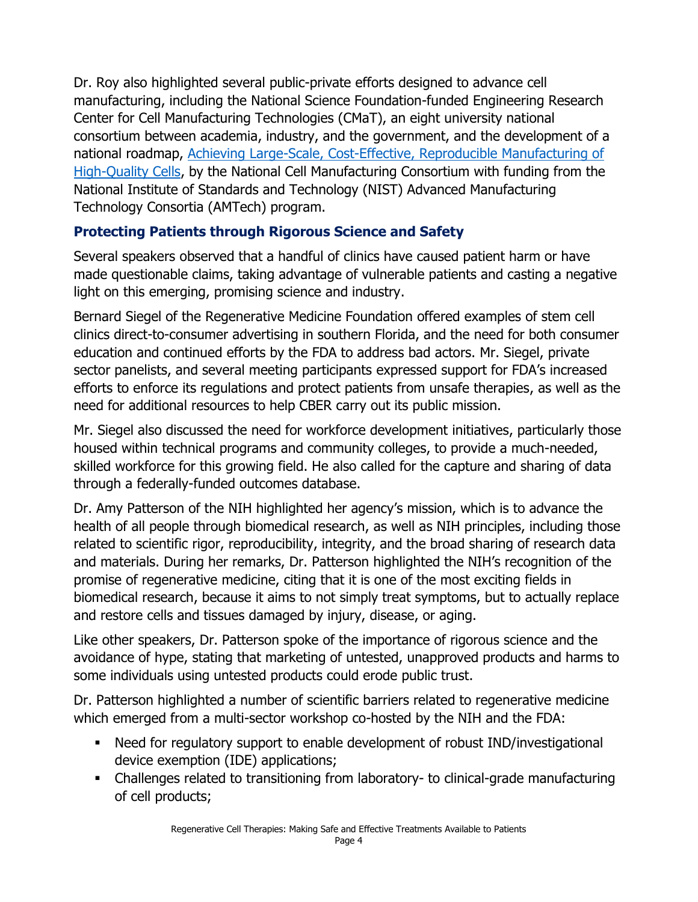Dr. Roy also highlighted several public-private efforts designed to advance cell manufacturing, including the National Science Foundation-funded Engineering Research Center for Cell Manufacturing Technologies (CMaT), an eight university national consortium between academia, industry, and the government, and the development of a national roadmap, [Achieving Large-Scale, Cost-Effective, Reproducible Manufacturing of](http://www.cellmanufacturingusa.org/sites/default/files/NCMC-Roadmap-Update_07-28-2017.pdf)  [High-Quality Cells,](http://www.cellmanufacturingusa.org/sites/default/files/NCMC-Roadmap-Update_07-28-2017.pdf) by the National Cell Manufacturing Consortium with funding from the National Institute of Standards and Technology (NIST) Advanced Manufacturing Technology Consortia (AMTech) program.

# **Protecting Patients through Rigorous Science and Safety**

Several speakers observed that a handful of clinics have caused patient harm or have made questionable claims, taking advantage of vulnerable patients and casting a negative light on this emerging, promising science and industry.

Bernard Siegel of the Regenerative Medicine Foundation offered examples of stem cell clinics direct-to-consumer advertising in southern Florida, and the need for both consumer education and continued efforts by the FDA to address bad actors. Mr. Siegel, private sector panelists, and several meeting participants expressed support for FDA's increased efforts to enforce its regulations and protect patients from unsafe therapies, as well as the need for additional resources to help CBER carry out its public mission.

Mr. Siegel also discussed the need for workforce development initiatives, particularly those housed within technical programs and community colleges, to provide a much-needed, skilled workforce for this growing field. He also called for the capture and sharing of data through a federally-funded outcomes database.

Dr. Amy Patterson of the NIH highlighted her agency's mission, which is to advance the health of all people through biomedical research, as well as NIH principles, including those related to scientific rigor, reproducibility, integrity, and the broad sharing of research data and materials. During her remarks, Dr. Patterson highlighted the NIH's recognition of the promise of regenerative medicine, citing that it is one of the most exciting fields in biomedical research, because it aims to not simply treat symptoms, but to actually replace and restore cells and tissues damaged by injury, disease, or aging.

Like other speakers, Dr. Patterson spoke of the importance of rigorous science and the avoidance of hype, stating that marketing of untested, unapproved products and harms to some individuals using untested products could erode public trust.

Dr. Patterson highlighted a number of scientific barriers related to regenerative medicine which emerged from a multi-sector workshop co-hosted by the NIH and the FDA:

- Need for regulatory support to enable development of robust IND/investigational device exemption (IDE) applications;
- Challenges related to transitioning from laboratory- to clinical-grade manufacturing of cell products;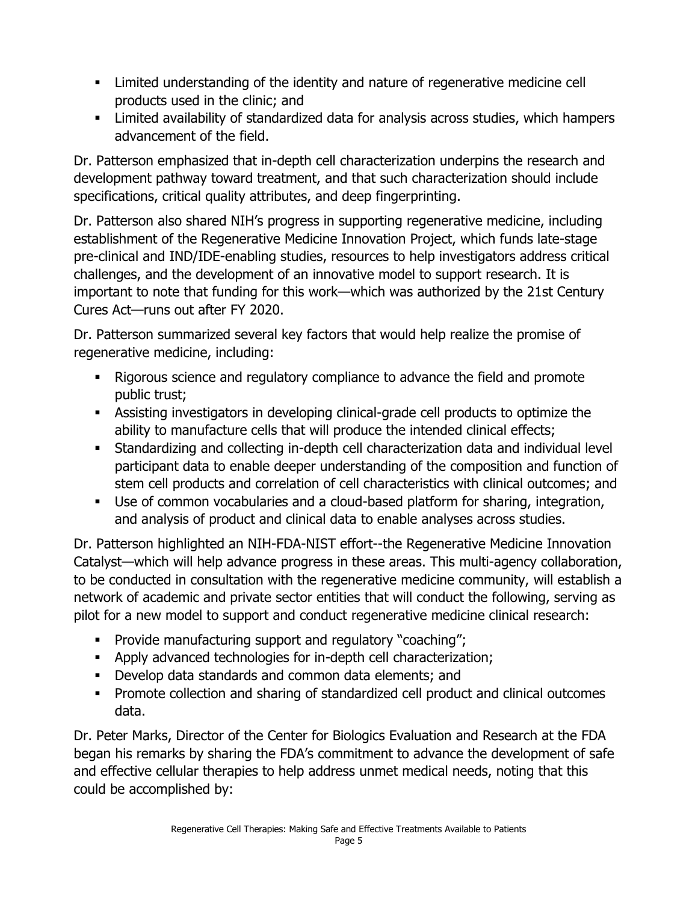- Limited understanding of the identity and nature of regenerative medicine cell products used in the clinic; and
- Limited availability of standardized data for analysis across studies, which hampers advancement of the field.

Dr. Patterson emphasized that in-depth cell characterization underpins the research and development pathway toward treatment, and that such characterization should include specifications, critical quality attributes, and deep fingerprinting.

Dr. Patterson also shared NIH's progress in supporting regenerative medicine, including establishment of the Regenerative Medicine Innovation Project, which funds late-stage pre-clinical and IND/IDE-enabling studies, resources to help investigators address critical challenges, and the development of an innovative model to support research. It is important to note that funding for this work—which was authorized by the 21st Century Cures Act—runs out after FY 2020.

Dr. Patterson summarized several key factors that would help realize the promise of regenerative medicine, including:

- **EXECT** Rigorous science and regulatory compliance to advance the field and promote public trust;
- Assisting investigators in developing clinical-grade cell products to optimize the ability to manufacture cells that will produce the intended clinical effects;
- Standardizing and collecting in-depth cell characterization data and individual level participant data to enable deeper understanding of the composition and function of stem cell products and correlation of cell characteristics with clinical outcomes; and
- Use of common vocabularies and a cloud-based platform for sharing, integration, and analysis of product and clinical data to enable analyses across studies.

Dr. Patterson highlighted an NIH-FDA-NIST effort--the Regenerative Medicine Innovation Catalyst—which will help advance progress in these areas. This multi-agency collaboration, to be conducted in consultation with the regenerative medicine community, will establish a network of academic and private sector entities that will conduct the following, serving as pilot for a new model to support and conduct regenerative medicine clinical research:

- Provide manufacturing support and regulatory "coaching";
- Apply advanced technologies for in-depth cell characterization;
- Develop data standards and common data elements; and
- Promote collection and sharing of standardized cell product and clinical outcomes data.

Dr. Peter Marks, Director of the Center for Biologics Evaluation and Research at the FDA began his remarks by sharing the FDA's commitment to advance the development of safe and effective cellular therapies to help address unmet medical needs, noting that this could be accomplished by: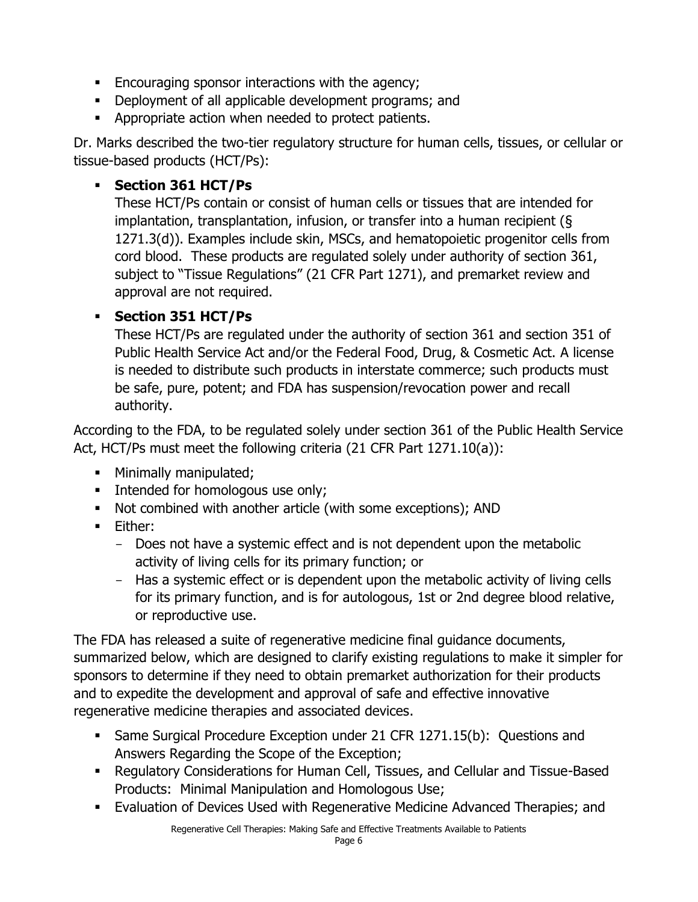- Encouraging sponsor interactions with the agency;
- Deployment of all applicable development programs; and
- **•** Appropriate action when needed to protect patients.

Dr. Marks described the two-tier regulatory structure for human cells, tissues, or cellular or tissue-based products (HCT/Ps):

## ▪ **Section 361 HCT/Ps**

These HCT/Ps contain or consist of human cells or tissues that are intended for implantation, transplantation, infusion, or transfer into a human recipient (§ 1271.3(d)). Examples include skin, MSCs, and hematopoietic progenitor cells from cord blood. These products are regulated solely under authority of section 361, subject to "Tissue Regulations" (21 CFR Part 1271), and premarket review and approval are not required.

### ▪ **Section 351 HCT/Ps**

These HCT/Ps are regulated under the authority of section 361 and section 351 of Public Health Service Act and/or the Federal Food, Drug, & Cosmetic Act. A license is needed to distribute such products in interstate commerce; such products must be safe, pure, potent; and FDA has suspension/revocation power and recall authority.

According to the FDA, to be regulated solely under section 361 of the Public Health Service Act, HCT/Ps must meet the following criteria (21 CFR Part 1271.10(a)):

- **■** Minimally manipulated;
- **•** Intended for homologous use only;
- Not combined with another article (with some exceptions); AND
- Either:
	- Does not have a systemic effect and is not dependent upon the metabolic activity of living cells for its primary function; or
	- Has a systemic effect or is dependent upon the metabolic activity of living cells for its primary function, and is for autologous, 1st or 2nd degree blood relative, or reproductive use.

The FDA has released a suite of regenerative medicine final guidance documents, summarized below, which are designed to clarify existing regulations to make it simpler for sponsors to determine if they need to obtain premarket authorization for their products and to expedite the development and approval of safe and effective innovative regenerative medicine therapies and associated devices.

- Same Surgical Procedure Exception under 21 CFR 1271.15(b): Questions and Answers Regarding the Scope of the Exception;
- Regulatory Considerations for Human Cell, Tissues, and Cellular and Tissue-Based Products: Minimal Manipulation and Homologous Use;
- Evaluation of Devices Used with Regenerative Medicine Advanced Therapies; and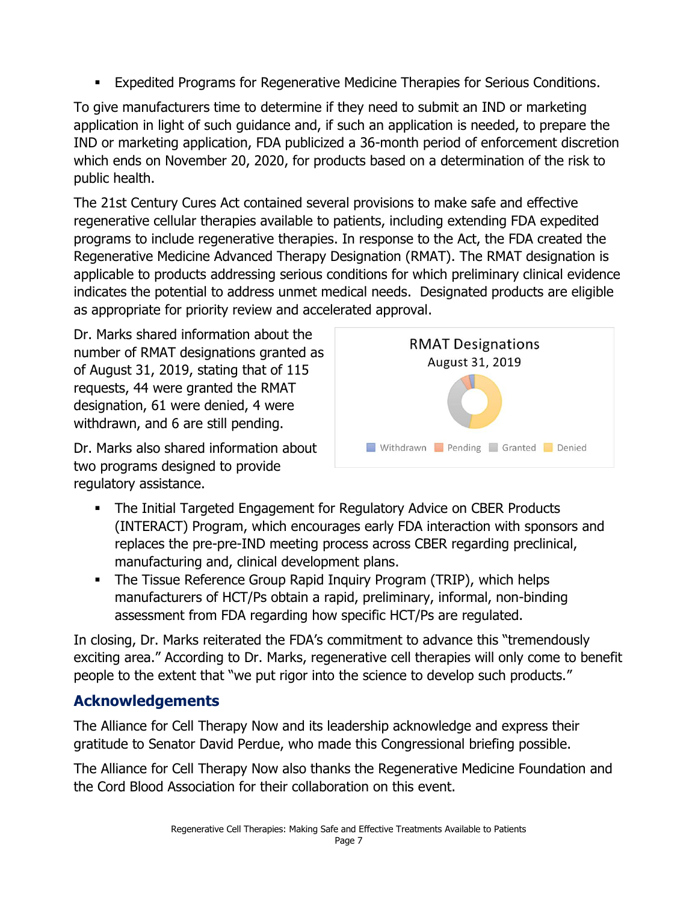■ Expedited Programs for Regenerative Medicine Therapies for Serious Conditions.

To give manufacturers time to determine if they need to submit an IND or marketing application in light of such guidance and, if such an application is needed, to prepare the IND or marketing application, FDA publicized a 36-month period of enforcement discretion which ends on November 20, 2020, for products based on a determination of the risk to public health.

The 21st Century Cures Act contained several provisions to make safe and effective regenerative cellular therapies available to patients, including extending FDA expedited programs to include regenerative therapies. In response to the Act, the FDA created the Regenerative Medicine Advanced Therapy Designation (RMAT). The RMAT designation is applicable to products addressing serious conditions for which preliminary clinical evidence indicates the potential to address unmet medical needs. Designated products are eligible as appropriate for priority review and accelerated approval.

Dr. Marks shared information about the number of RMAT designations granted as of August 31, 2019, stating that of 115 requests, 44 were granted the RMAT designation, 61 were denied, 4 were withdrawn, and 6 are still pending.

Dr. Marks also shared information about two programs designed to provide regulatory assistance.



- **The Initial Targeted Engagement for Regulatory Advice on CBER Products** (INTERACT) Program, which encourages early FDA interaction with sponsors and replaces the pre-pre-IND meeting process across CBER regarding preclinical, manufacturing and, clinical development plans.
- **The Tissue Reference Group Rapid Inquiry Program (TRIP), which helps** manufacturers of HCT/Ps obtain a rapid, preliminary, informal, non-binding assessment from FDA regarding how specific HCT/Ps are regulated.

In closing, Dr. Marks reiterated the FDA's commitment to advance this "tremendously exciting area." According to Dr. Marks, regenerative cell therapies will only come to benefit people to the extent that "we put rigor into the science to develop such products."

## **Acknowledgements**

The Alliance for Cell Therapy Now and its leadership acknowledge and express their gratitude to Senator David Perdue, who made this Congressional briefing possible.

The Alliance for Cell Therapy Now also thanks the Regenerative Medicine Foundation and the Cord Blood Association for their collaboration on this event.